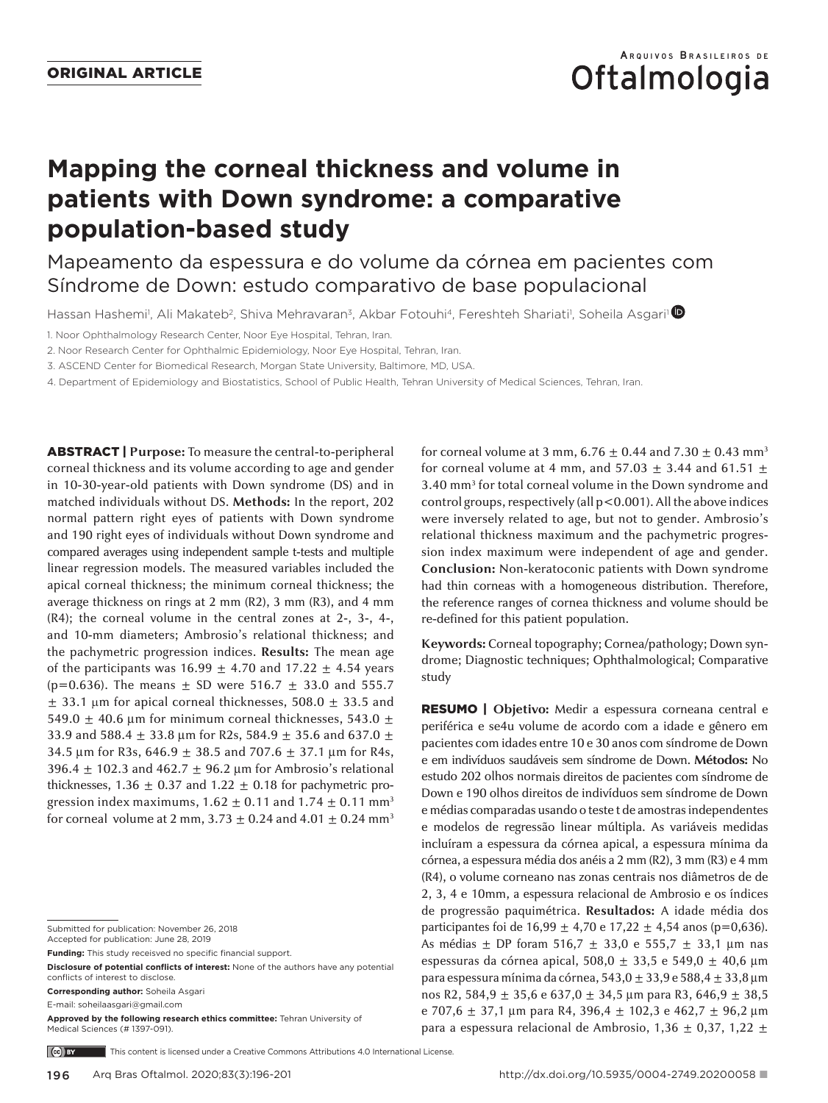# **Oftalmologia**

# **Mapping the corneal thickness and volume in patients with Down syndrome: a comparative population-based study**

Mapeamento da espessura e do volume da córnea em pacientes com Síndrome de Down: estudo comparativo de base populacional

Hassan Hashemi<sup>1</sup>, Ali Makateb<sup>2</sup>, Shiva Mehravaran<sup>3</sup>, Akbar Fotouhi<sup>4</sup>, Fereshteh Shariati<sup>1</sup>, Soheila Asgari<sup>1</sup>

1. Noor Ophthalmology Research Center, Noor Eye Hospital, Tehran, Iran.

2. Noor Research Center for Ophthalmic Epidemiology, Noor Eye Hospital, Tehran, Iran.

3. ASCEND Center for Biomedical Research, Morgan State University, Baltimore, MD, USA.

4. Department of Epidemiology and Biostatistics, School of Public Health, Tehran University of Medical Sciences, Tehran, Iran.

ABSTRACT | **Purpose:** To measure the central-to-peripheral corneal thickness and its volume according to age and gender in 10-30-year-old patients with Down syndrome (DS) and in matched individuals without DS. **Methods:** In the report, 202 normal pattern right eyes of patients with Down syndrome and 190 right eyes of individuals without Down syndrome and compared averages using independent sample t-tests and multiple linear regression models. The measured variables included the apical corneal thickness; the minimum corneal thickness; the average thickness on rings at 2 mm (R2), 3 mm (R3), and 4 mm (R4); the corneal volume in the central zones at 2-, 3-, 4-, and 10-mm diameters; Ambrosio's relational thickness; and the pachymetric progression indices. **Results:** The mean age of the participants was  $16.99 \pm 4.70$  and  $17.22 \pm 4.54$  years (p=0.636). The means  $\pm$  SD were 516.7  $\pm$  33.0 and 555.7  $\pm$  33.1 µm for apical corneal thicknesses, 508.0  $\pm$  33.5 and 549.0  $\pm$  40.6 µm for minimum corneal thicknesses, 543.0  $\pm$ 33.9 and 588.4 ± 33.8 µm for R2s, 584.9 ± 35.6 and 637.0 ± 34.5 µm for R3s,  $646.9 \pm 38.5$  and  $707.6 \pm 37.1$  µm for R4s, 396.4  $\pm$  102.3 and 462.7  $\pm$  96.2 µm for Ambrosio's relational thicknesses,  $1.36 \pm 0.37$  and  $1.22 \pm 0.18$  for pachymetric progression index maximums,  $1.62 \pm 0.11$  and  $1.74 \pm 0.11$  mm<sup>3</sup> for corneal volume at 2 mm,  $3.73 \pm 0.24$  and  $4.01 \pm 0.24$  mm<sup>3</sup>

Accepted for publication: June 28, 2019

**Funding:** This study receisved no specific financial support.

**Disclosure of potential conflicts of interest:** None of the authors have any potential conflicts of interest to disclose.

**Corresponding author:** Soheila Asgari

E-mail: soheilaasgari@gmail.com

**Approved by the following research ethics committee:** Tehran University of Medical Sciences (# 1397-091).

for corneal volume at 3 mm,  $6.76 \pm 0.44$  and  $7.30 \pm 0.43$  mm<sup>3</sup> for corneal volume at 4 mm, and 57.03  $\pm$  3.44 and 61.51  $\pm$ 3.40 mm3 for total corneal volume in the Down syndrome and control groups, respectively (all p<0.001). All the above indices were inversely related to age, but not to gender. Ambrosio's relational thickness maximum and the pachymetric progression index maximum were independent of age and gender. **Conclusion:** Non-keratoconic patients with Down syndrome had thin corneas with a homogeneous distribution. Therefore, the reference ranges of cornea thickness and volume should be re-defined for this patient population.

**Keywords:** Corneal topography; Cornea/pathology; Down syndrome; Diagnostic techniques; Ophthalmological; Comparative study

RESUMO | **Objetivo:** Medir a espessura corneana central e periférica e se4u volume de acordo com a idade e gênero em pacientes com idades entre 10 e 30 anos com síndrome de Down e em indivíduos saudáveis sem síndrome de Down. **Métodos:** No estudo 202 olhos normais direitos de pacientes com síndrome de Down e 190 olhos direitos de indivíduos sem síndrome de Down e médias comparadas usando o teste t de amostras independentes e modelos de regressão linear múltipla. As variáveis medidas incluíram a espessura da córnea apical, a espessura mínima da córnea, a espessura média dos anéis a 2 mm (R2), 3 mm (R3) e 4 mm (R4), o volume corneano nas zonas centrais nos diâmetros de de 2, 3, 4 e 10mm, a espessura relacional de Ambrosio e os índices de progressão paquimétrica. **Resultados:** A idade média dos participantes foi de 16,99  $\pm$  4,70 e 17,22  $\pm$  4,54 anos (p=0,636). As médias ± DP foram 516,7 ± 33,0 e 555,7 ± 33,1 µm nas espessuras da córnea apical, 508,0  $\pm$  33,5 e 549,0  $\pm$  40,6 µm para espessura mínima da córnea,  $543,0 \pm 33,9$  e  $588,4 \pm 33,8$  µm nos R2, 584,9  $\pm$  35,6 e 637,0  $\pm$  34,5 µm para R3, 646,9  $\pm$  38,5 e 707,6  $\pm$  37,1 µm para R4, 396,4  $\pm$  102,3 e 462,7  $\pm$  96,2 µm para a espessura relacional de Ambrosio,  $1,36 \pm 0,37, 1,22 \pm 1$ 

 $(c)$  BY This content is licensed under a Creative Commons Attributions 4.0 International License.

Submitted for publication: November 26, 2018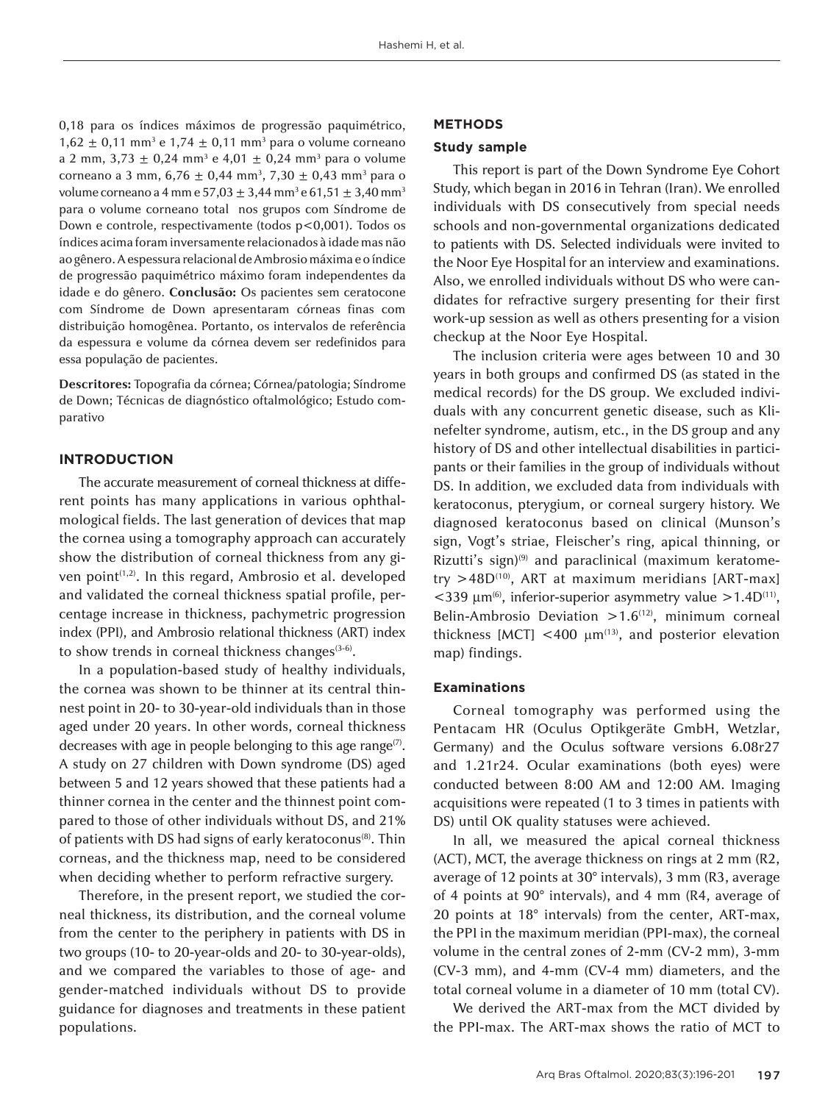0,18 para os índices máximos de progressão paquimétrico,  $1,62 \pm 0,11$  mm<sup>3</sup> e  $1,74 \pm 0,11$  mm<sup>3</sup> para o volume corneano a 2 mm, 3,73 ± 0,24 mm<sup>3</sup> e 4,01 ± 0,24 mm<sup>3</sup> para o volume corneano a 3 mm, 6,76 ± 0,44 mm<sup>3</sup>, 7,30 ± 0,43 mm<sup>3</sup> para o volume corneano a 4 mm e 57,03  $\pm$  3,44 mm $^3$  e 61,51  $\pm$  3,40 mm $^3$ para o volume corneano total nos grupos com Síndrome de Down e controle, respectivamente (todos p<0,001). Todos os índices acima foram inversamente relacionados à idade mas não ao gênero. A espessura relacional de Ambrosio máxima e o índice de progressão paquimétrico máximo foram independentes da idade e do gênero. **Conclusão:** Os pacientes sem ceratocone com Síndrome de Down apresentaram córneas finas com distribuição homogênea. Portanto, os intervalos de referência da espessura e volume da córnea devem ser redefinidos para essa população de pacientes.

**Descritores:** Topografia da córnea; Córnea/patologia; Síndrome de Down; Técnicas de diagnóstico oftalmológico; Estudo comparativo

# **INTRODUCTION**

The accurate measurement of corneal thickness at different points has many applications in various ophthalmological fields. The last generation of devices that map the cornea using a tomography approach can accurately show the distribution of corneal thickness from any given point<sup>(1,2)</sup>. In this regard, Ambrosio et al. developed and validated the corneal thickness spatial profile, percentage increase in thickness, pachymetric progression index (PPI), and Ambrosio relational thickness (ART) index to show trends in corneal thickness changes $(3-6)$ .

In a population-based study of healthy individuals, the cornea was shown to be thinner at its central thinnest point in 20- to 30-year-old individuals than in those aged under 20 years. In other words, corneal thickness decreases with age in people belonging to this age range $(7)$ . A study on 27 children with Down syndrome (DS) aged between 5 and 12 years showed that these patients had a thinner cornea in the center and the thinnest point compared to those of other individuals without DS, and 21% of patients with DS had signs of early keratoconus<sup>(8)</sup>. Thin corneas, and the thickness map, need to be considered when deciding whether to perform refractive surgery.

Therefore, in the present report, we studied the corneal thickness, its distribution, and the corneal volume from the center to the periphery in patients with DS in two groups (10- to 20-year-olds and 20- to 30-year-olds), and we compared the variables to those of age- and gender-matched individuals without DS to provide guidance for diagnoses and treatments in these patient populations.

## **METHODS**

#### **Study sample**

This report is part of the Down Syndrome Eye Cohort Study, which began in 2016 in Tehran (Iran). We enrolled individuals with DS consecutively from special needs schools and non-governmental organizations dedicated to patients with DS. Selected individuals were invited to the Noor Eye Hospital for an interview and examinations. Also, we enrolled individuals without DS who were candidates for refractive surgery presenting for their first work-up session as well as others presenting for a vision checkup at the Noor Eye Hospital.

The inclusion criteria were ages between 10 and 30 years in both groups and confirmed DS (as stated in the medical records) for the DS group. We excluded individuals with any concurrent genetic disease, such as Klinefelter syndrome, autism, etc., in the DS group and any history of DS and other intellectual disabilities in participants or their families in the group of individuals without DS. In addition, we excluded data from individuals with keratoconus, pterygium, or corneal surgery history. We diagnosed keratoconus based on clinical (Munson's sign, Vogt's striae, Fleischer's ring, apical thinning, or Rizutti's sign)<sup>(9)</sup> and paraclinical (maximum keratometry  $>48D^{(10)}$ , ART at maximum meridians [ART-max]  $<$ 339  $\mu$ m<sup>(6)</sup>, inferior-superior asymmetry value >1.4D<sup>(11)</sup>, Belin-Ambrosio Deviation  $>1.6$ <sup>(12)</sup>, minimum corneal thickness [MCT] <400  $\mu$ m<sup>(13)</sup>, and posterior elevation map) findings.

#### **Examinations**

Corneal tomography was performed using the Pentacam HR (Oculus Optikgeräte GmbH, Wetzlar, Germany) and the Oculus software versions 6.08r27 and 1.21r24. Ocular examinations (both eyes) were conducted between 8:00 AM and 12:00 AM. Imaging acquisitions were repeated (1 to 3 times in patients with DS) until OK quality statuses were achieved.

In all, we measured the apical corneal thickness (ACT), MCT, the average thickness on rings at 2 mm (R2, average of 12 points at 30° intervals), 3 mm (R3, average of 4 points at 90° intervals), and 4 mm (R4, average of 20 points at 18° intervals) from the center, ART-max, the PPI in the maximum meridian (PPI-max), the corneal volume in the central zones of 2-mm (CV-2 mm), 3-mm (CV-3 mm), and 4-mm (CV-4 mm) diameters, and the total corneal volume in a diameter of 10 mm (total CV).

We derived the ART-max from the MCT divided by the PPI-max. The ART-max shows the ratio of MCT to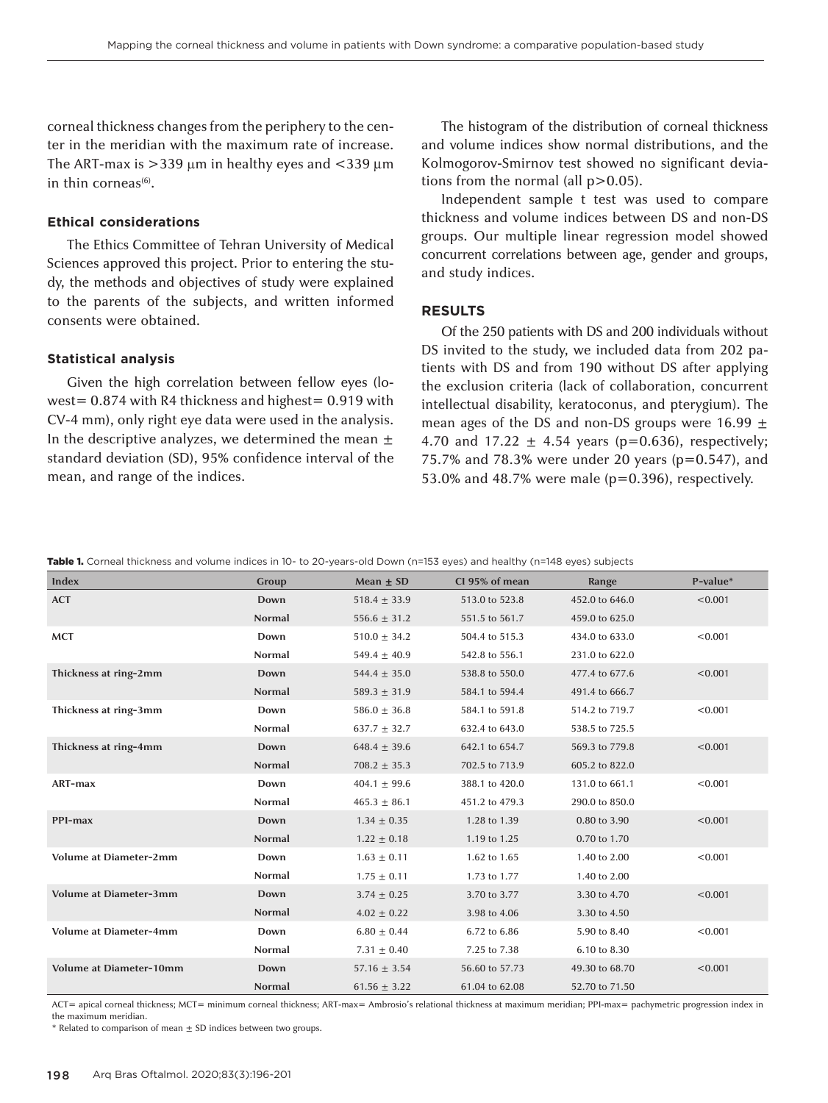corneal thickness changes from the periphery to the center in the meridian with the maximum rate of increase. The ART-max is  $>$ 339 µm in healthy eyes and  $<$ 339 µm in thin corneas $(6)$ .

# **Ethical considerations**

The Ethics Committee of Tehran University of Medical Sciences approved this project. Prior to entering the study, the methods and objectives of study were explained to the parents of the subjects, and written informed consents were obtained.

## **Statistical analysis**

Given the high correlation between fellow eyes (lowest= 0.874 with R4 thickness and highest= 0.919 with CV-4 mm), only right eye data were used in the analysis. In the descriptive analyzes, we determined the mean  $\pm$ standard deviation (SD), 95% confidence interval of the mean, and range of the indices.

The histogram of the distribution of corneal thickness and volume indices show normal distributions, and the Kolmogorov-Smirnov test showed no significant deviations from the normal (all  $p > 0.05$ ).

Independent sample t test was used to compare thickness and volume indices between DS and non-DS groups. Our multiple linear regression model showed concurrent correlations between age, gender and groups, and study indices.

#### **RESULTS**

Of the 250 patients with DS and 200 individuals without DS invited to the study, we included data from 202 patients with DS and from 190 without DS after applying the exclusion criteria (lack of collaboration, concurrent intellectual disability, keratoconus, and pterygium). The mean ages of the DS and non-DS groups were 16.99  $\pm$ 4.70 and 17.22  $\pm$  4.54 years (p=0.636), respectively; 75.7% and 78.3% were under 20 years (p=0.547), and 53.0% and 48.7% were male ( $p=0.396$ ), respectively.

|  |  |  |  |  |  | <b>Table 1.</b> Corneal thickness and volume indices in 10- to 20-years-old Down (n=153 eyes) and healthy (n=148 eyes) subjects |  |
|--|--|--|--|--|--|---------------------------------------------------------------------------------------------------------------------------------|--|
|--|--|--|--|--|--|---------------------------------------------------------------------------------------------------------------------------------|--|

| <b>Index</b>                   | Group         | Mean $\pm$ SD    | Cl 95% of mean | Range          | P-value* |
|--------------------------------|---------------|------------------|----------------|----------------|----------|
| <b>ACT</b>                     | Down          | $518.4 \pm 33.9$ | 513.0 to 523.8 | 452.0 to 646.0 | < 0.001  |
|                                | Normal        | $556.6 \pm 31.2$ | 551.5 to 561.7 | 459.0 to 625.0 |          |
| <b>MCT</b>                     | Down          | $510.0 \pm 34.2$ | 504.4 to 515.3 | 434.0 to 633.0 | < 0.001  |
|                                | <b>Normal</b> | $549.4 \pm 40.9$ | 542.8 to 556.1 | 231.0 to 622.0 |          |
| Thickness at ring-2mm          | Down          | $544.4 \pm 35.0$ | 538.8 to 550.0 | 477.4 to 677.6 | < 0.001  |
|                                | Normal        | $589.3 \pm 31.9$ | 584.1 to 594.4 | 491.4 to 666.7 |          |
| Thickness at ring-3mm          | Down          | $586.0 \pm 36.8$ | 584.1 to 591.8 | 514.2 to 719.7 | < 0.001  |
|                                | <b>Normal</b> | $637.7 \pm 32.7$ | 632.4 to 643.0 | 538.5 to 725.5 |          |
| Thickness at ring-4mm          | Down          | $648.4 \pm 39.6$ | 642.1 to 654.7 | 569.3 to 779.8 | < 0.001  |
|                                | <b>Normal</b> | $708.2 \pm 35.3$ | 702.5 to 713.9 | 605.2 to 822.0 |          |
| ART-max                        | Down          | $404.1 \pm 99.6$ | 388.1 to 420.0 | 131.0 to 661.1 | < 0.001  |
|                                | <b>Normal</b> | $465.3 \pm 86.1$ | 451.2 to 479.3 | 290.0 to 850.0 |          |
| PPI-max                        | Down          | $1.34 \pm 0.35$  | 1.28 to 1.39   | 0.80 to 3.90   | < 0.001  |
|                                | Normal        | $1.22 \pm 0.18$  | 1.19 to 1.25   | 0.70 to 1.70   |          |
| <b>Volume at Diameter-2mm</b>  | Down          | $1.63 \pm 0.11$  | 1.62 to 1.65   | 1.40 to 2.00   | < 0.001  |
|                                | <b>Normal</b> | $1.75 \pm 0.11$  | 1.73 to 1.77   | 1.40 to 2.00   |          |
| <b>Volume at Diameter-3mm</b>  | Down          | $3.74 \pm 0.25$  | 3.70 to 3.77   | 3.30 to 4.70   | < 0.001  |
|                                | <b>Normal</b> | $4.02 \pm 0.22$  | 3.98 to 4.06   | 3.30 to 4.50   |          |
| <b>Volume at Diameter-4mm</b>  | Down          | $6.80 \pm 0.44$  | 6.72 to 6.86   | 5.90 to 8.40   | < 0.001  |
|                                | Normal        | $7.31 \pm 0.40$  | 7.25 to 7.38   | 6.10 to 8.30   |          |
| <b>Volume at Diameter-10mm</b> | Down          | $57.16 \pm 3.54$ | 56.60 to 57.73 | 49.30 to 68.70 | < 0.001  |
|                                | <b>Normal</b> | $61.56 \pm 3.22$ | 61.04 to 62.08 | 52.70 to 71.50 |          |

ACT= apical corneal thickness; MCT= minimum corneal thickness; ART-max= Ambrosio's relational thickness at maximum meridian; PPI-max= pachymetric progression index in the maximum meridian.

 $*$  Related to comparison of mean  $\pm$  SD indices between two groups.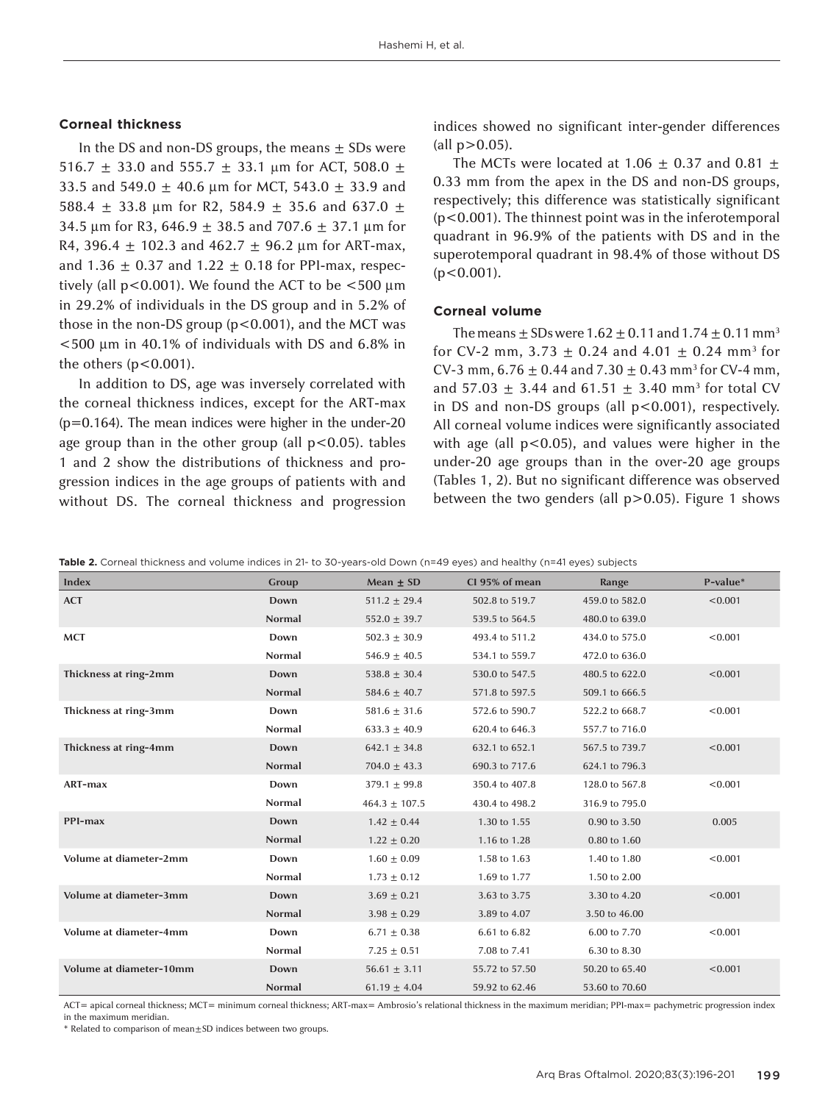#### **Corneal thickness**

In the DS and non-DS groups, the means  $\pm$  SDs were 516.7  $\pm$  33.0 and 555.7  $\pm$  33.1 µm for ACT, 508.0  $\pm$ 33.5 and 549.0  $\pm$  40.6 µm for MCT, 543.0  $\pm$  33.9 and 588.4  $\pm$  33.8 µm for R2, 584.9  $\pm$  35.6 and 637.0  $\pm$ 34.5 µm for R3, 646.9  $\pm$  38.5 and 707.6  $\pm$  37.1 µm for R4, 396.4  $\pm$  102.3 and 462.7  $\pm$  96.2 µm for ART-max, and  $1.36 \pm 0.37$  and  $1.22 \pm 0.18$  for PPI-max, respectively (all  $p$ <0.001). We found the ACT to be  $\lt$ 500  $\mu$ m in 29.2% of individuals in the DS group and in 5.2% of those in the non-DS group  $(p<0.001)$ , and the MCT was <500 µm in 40.1% of individuals with DS and 6.8% in the others  $(p<0.001)$ .

In addition to DS, age was inversely correlated with the corneal thickness indices, except for the ART-max (p=0.164). The mean indices were higher in the under-20 age group than in the other group (all  $p < 0.05$ ). tables 1 and 2 show the distributions of thickness and progression indices in the age groups of patients with and without DS. The corneal thickness and progression

indices showed no significant inter-gender differences  $\text{(all p>0.05)}.$ 

The MCTs were located at 1.06  $\pm$  0.37 and 0.81  $\pm$ 0.33 mm from the apex in the DS and non-DS groups, respectively; this difference was statistically significant (p<0.001). The thinnest point was in the inferotemporal quadrant in 96.9% of the patients with DS and in the superotemporal quadrant in 98.4% of those without DS  $(p<0.001)$ .

## **Corneal volume**

The means  $\pm$  SDs were 1.62  $\pm$  0.11 and 1.74  $\pm$  0.11 mm<sup>3</sup> for CV-2 mm, 3.73  $\pm$  0.24 and 4.01  $\pm$  0.24 mm<sup>3</sup> for CV-3 mm,  $6.76 \pm 0.44$  and  $7.30 \pm 0.43$  mm<sup>3</sup> for CV-4 mm, and 57.03  $\pm$  3.44 and 61.51  $\pm$  3.40 mm<sup>3</sup> for total CV in DS and non-DS groups (all p<0.001), respectively. All corneal volume indices were significantly associated with age (all  $p < 0.05$ ), and values were higher in the under-20 age groups than in the over-20 age groups (Tables 1, 2). But no significant difference was observed between the two genders (all  $p > 0.05$ ). Figure 1 shows

| Index                   | Group         | Mean $\pm$ SD     | Cl 95% of mean | Range          | P-value* |
|-------------------------|---------------|-------------------|----------------|----------------|----------|
| <b>ACT</b>              | Down          | $511.2 \pm 29.4$  | 502.8 to 519.7 | 459.0 to 582.0 | < 0.001  |
|                         | <b>Normal</b> | $552.0 \pm 39.7$  | 539.5 to 564.5 | 480.0 to 639.0 |          |
| <b>MCT</b>              | Down          | $502.3 \pm 30.9$  | 493.4 to 511.2 | 434.0 to 575.0 | < 0.001  |
|                         | <b>Normal</b> | $546.9 \pm 40.5$  | 534.1 to 559.7 | 472.0 to 636.0 |          |
| Thickness at ring-2mm   | Down          | $538.8 \pm 30.4$  | 530.0 to 547.5 | 480.5 to 622.0 | < 0.001  |
|                         | <b>Normal</b> | 584.6 $\pm$ 40.7  | 571.8 to 597.5 | 509.1 to 666.5 |          |
| Thickness at ring-3mm   | Down          | $581.6 \pm 31.6$  | 572.6 to 590.7 | 522.2 to 668.7 | < 0.001  |
|                         | <b>Normal</b> | $633.3 \pm 40.9$  | 620.4 to 646.3 | 557.7 to 716.0 |          |
| Thickness at ring-4mm   | Down          | $642.1 \pm 34.8$  | 632.1 to 652.1 | 567.5 to 739.7 | < 0.001  |
|                         | Normal        | $704.0 \pm 43.3$  | 690.3 to 717.6 | 624.1 to 796.3 |          |
| ART-max                 | Down          | $379.1 \pm 99.8$  | 350.4 to 407.8 | 128.0 to 567.8 | < 0.001  |
|                         | <b>Normal</b> | $464.3 \pm 107.5$ | 430.4 to 498.2 | 316.9 to 795.0 |          |
| PPI-max                 | Down          | $1.42 \pm 0.44$   | 1.30 to 1.55   | 0.90 to 3.50   | 0.005    |
|                         | <b>Normal</b> | $1.22 \pm 0.20$   | 1.16 to 1.28   | 0.80 to 1.60   |          |
| Volume at diameter-2mm  | Down          | $1.60 \pm 0.09$   | 1.58 to 1.63   | 1.40 to 1.80   | < 0.001  |
|                         | <b>Normal</b> | $1.73 \pm 0.12$   | 1.69 to 1.77   | 1.50 to 2.00   |          |
| Volume at diameter-3mm  | Down          | $3.69 \pm 0.21$   | 3.63 to 3.75   | 3.30 to 4.20   | < 0.001  |
|                         | Normal        | $3.98 \pm 0.29$   | 3.89 to 4.07   | 3.50 to 46.00  |          |
| Volume at diameter-4mm  | Down          | $6.71 \pm 0.38$   | 6.61 to 6.82   | 6.00 to 7.70   | < 0.001  |
|                         | <b>Normal</b> | $7.25 \pm 0.51$   | 7.08 to 7.41   | 6.30 to 8.30   |          |
| Volume at diameter-10mm | Down          | $56.61 \pm 3.11$  | 55.72 to 57.50 | 50.20 to 65.40 | < 0.001  |
|                         | <b>Normal</b> | $61.19 \pm 4.04$  | 59.92 to 62.46 | 53.60 to 70.60 |          |

ACT= apical corneal thickness; MCT= minimum corneal thickness; ART-max= Ambrosio's relational thickness in the maximum meridian; PPI-max= pachymetric progression index in the maximum meridian.

\* Related to comparison of mean±SD indices between two groups.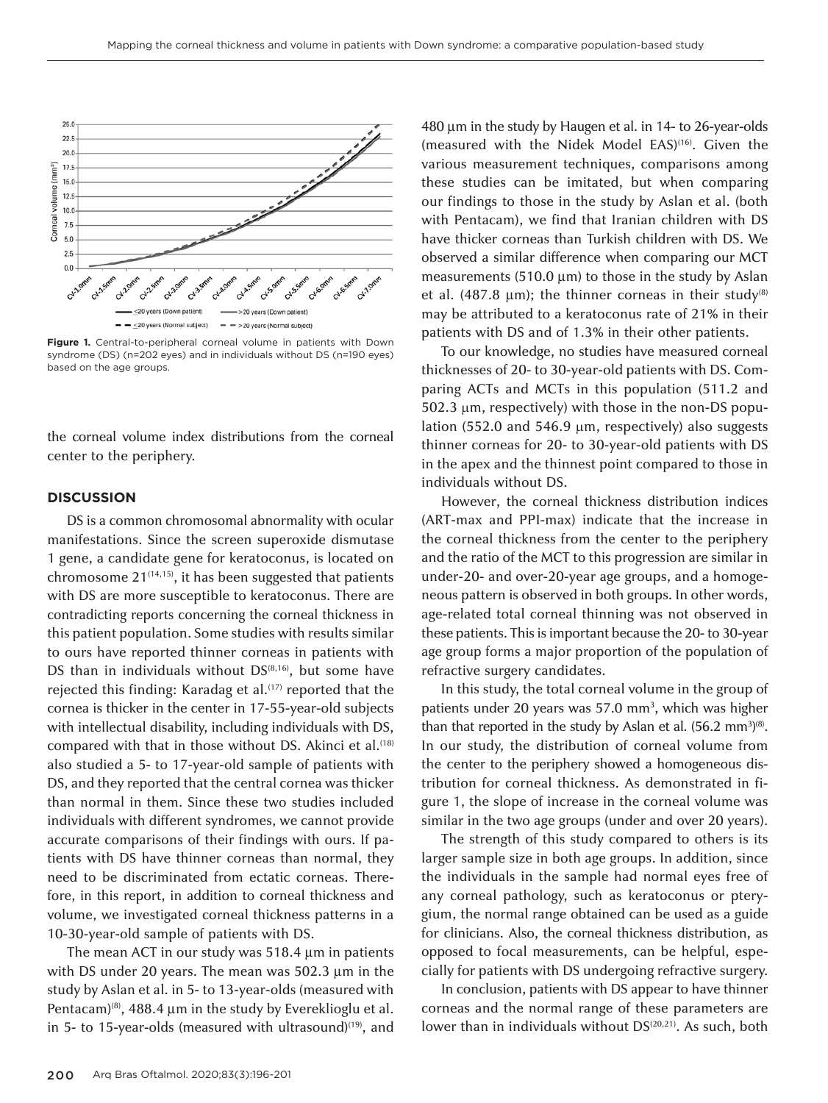

**Figure 1.** Central-to-peripheral corneal volume in patients with Down syndrome (DS) (n=202 eyes) and in individuals without DS (n=190 eyes) based on the age groups.

the corneal volume index distributions from the corneal center to the periphery.

#### **DISCUSSION**

DS is a common chromosomal abnormality with ocular manifestations. Since the screen superoxide dismutase 1 gene, a candidate gene for keratoconus, is located on chromosome  $21^{(14,15)}$ , it has been suggested that patients with DS are more susceptible to keratoconus. There are contradicting reports concerning the corneal thickness in this patient population. Some studies with results similar to ours have reported thinner corneas in patients with DS than in individuals without  $DS^{(8,16)}$ , but some have rejected this finding: Karadag et al.<sup>(17)</sup> reported that the cornea is thicker in the center in 17-55-year-old subjects with intellectual disability, including individuals with DS, compared with that in those without DS. Akinci et al.<sup>(18)</sup> also studied a 5- to 17-year-old sample of patients with DS, and they reported that the central cornea was thicker than normal in them. Since these two studies included individuals with different syndromes, we cannot provide accurate comparisons of their findings with ours. If patients with DS have thinner corneas than normal, they need to be discriminated from ectatic corneas. Therefore, in this report, in addition to corneal thickness and volume, we investigated corneal thickness patterns in a 10-30-year-old sample of patients with DS.

The mean ACT in our study was 518.4 µm in patients with DS under 20 years. The mean was 502.3 µm in the study by Aslan et al. in 5- to 13-year-olds (measured with Pentacam)<sup>(8)</sup>, 488.4  $\mu$ m in the study by Evereklioglu et al. in 5- to 15-year-olds (measured with ultrasound)<sup>(19)</sup>, and

480 µm in the study by Haugen et al. in 14- to 26-year-olds (measured with the Nidek Model EAS)(16). Given the various measurement techniques, comparisons among these studies can be imitated, but when comparing our findings to those in the study by Aslan et al. (both with Pentacam), we find that Iranian children with DS have thicker corneas than Turkish children with DS. We observed a similar difference when comparing our MCT measurements (510.0  $\mu$ m) to those in the study by Aslan et al. (487.8  $\mu$ m); the thinner corneas in their study<sup>(8)</sup> may be attributed to a keratoconus rate of 21% in their patients with DS and of 1.3% in their other patients.

To our knowledge, no studies have measured corneal thicknesses of 20- to 30-year-old patients with DS. Comparing ACTs and MCTs in this population (511.2 and 502.3 µm, respectively) with those in the non-DS population (552.0 and 546.9 µm, respectively) also suggests thinner corneas for 20- to 30-year-old patients with DS in the apex and the thinnest point compared to those in individuals without DS.

However, the corneal thickness distribution indices (ART-max and PPI-max) indicate that the increase in the corneal thickness from the center to the periphery and the ratio of the MCT to this progression are similar in under-20- and over-20-year age groups, and a homogeneous pattern is observed in both groups. In other words, age-related total corneal thinning was not observed in these patients. This is important because the 20- to 30-year age group forms a major proportion of the population of refractive surgery candidates.

In this study, the total corneal volume in the group of patients under 20 years was 57.0 mm<sup>3</sup>, which was higher than that reported in the study by Aslan et al.  $(56.2 \text{ mm}^3)^{(8)}$ . In our study, the distribution of corneal volume from the center to the periphery showed a homogeneous distribution for corneal thickness. As demonstrated in figure 1, the slope of increase in the corneal volume was similar in the two age groups (under and over 20 years).

The strength of this study compared to others is its larger sample size in both age groups. In addition, since the individuals in the sample had normal eyes free of any corneal pathology, such as keratoconus or pterygium, the normal range obtained can be used as a guide for clinicians. Also, the corneal thickness distribution, as opposed to focal measurements, can be helpful, especially for patients with DS undergoing refractive surgery.

In conclusion, patients with DS appear to have thinner corneas and the normal range of these parameters are lower than in individuals without DS<sup>(20,21)</sup>. As such, both